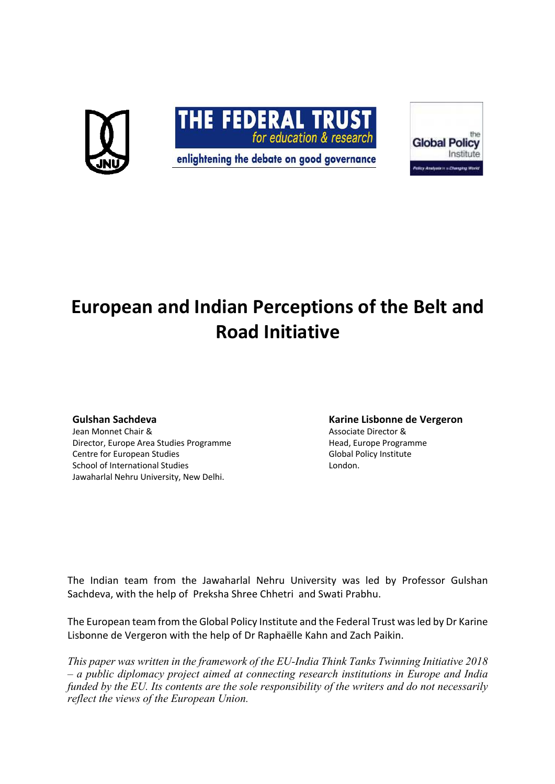

# **European and Indian Perceptions of the Belt and Road Initiative**

#### **Gulshan Sachdeva**

Jean Monnet Chair & Director, Europe Area Studies Programme Centre for European Studies School of International Studies Jawaharlal Nehru University, New Delhi.

#### **Karine Lisbonne de Vergeron**

Associate Director & Head, Europe Programme Global Policy Institute London.

The Indian team from the Jawaharlal Nehru University was led by Professor Gulshan Sachdeva, with the help of Preksha Shree Chhetri and Swati Prabhu.

The European team from the Global Policy Institute and the Federal Trust was led by Dr Karine Lisbonne de Vergeron with the help of Dr Raphaëlle Kahn and Zach Paikin.

*This paper was written in the framework of the EU-India Think Tanks Twinning Initiative 2018 – a public diplomacy project aimed at connecting research institutions in Europe and India funded by the EU. Its contents are the sole responsibility of the writers and do not necessarily reflect the views of the European Union.*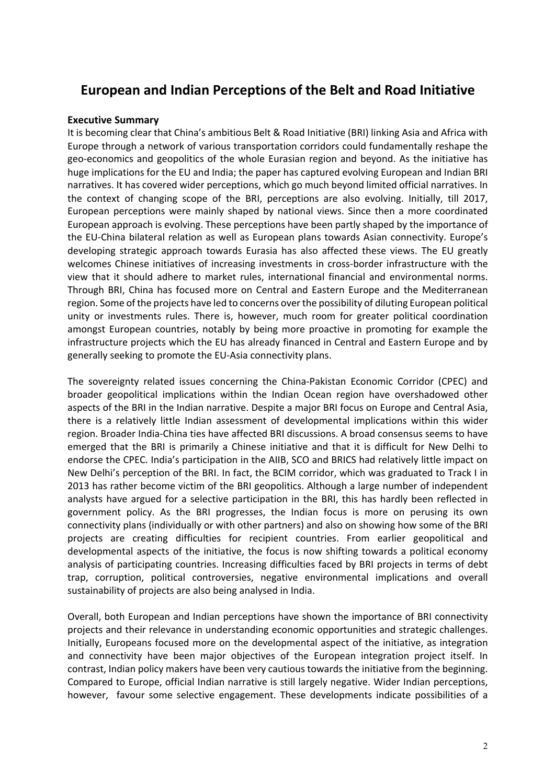## **European and Indian Perceptions of the Belt and Road Initiative**

#### **Executive Summary**

It is becoming clear that China's ambitious Belt & Road Initiative (BRI) linking Asia and Africa with Europe through a network of various transportation corridors could fundamentally reshape the geo-economics and geopolitics of the whole Eurasian region and beyond. As the initiative has huge implications for the EU and India; the paper has captured evolving European and Indian BRI narratives. It has covered wider perceptions, which go much beyond limited official narratives. In the context of changing scope of the BRI, perceptions are also evolving. Initially, till 2017, European perceptions were mainly shaped by national views. Since then a more coordinated European approach is evolving. These perceptions have been partly shaped by the importance of the EU-China bilateral relation as well as European plans towards Asian connectivity. Europe's developing strategic approach towards Eurasia has also affected these views. The EU greatly welcomes Chinese initiatives of increasing investments in cross-border infrastructure with the view that it should adhere to market rules, international financial and environmental norms. Through BRI, China has focused more on Central and Eastern Europe and the Mediterranean region. Some of the projects have led to concerns over the possibility of diluting European political unity or investments rules. There is, however, much room for greater political coordination amongst European countries, notably by being more proactive in promoting for example the infrastructure projects which the EU has already financed in Central and Eastern Europe and by generally seeking to promote the EU-Asia connectivity plans.

The sovereignty related issues concerning the China-Pakistan Economic Corridor (CPEC) and broader geopolitical implications within the Indian Ocean region have overshadowed other aspects of the BRI in the Indian narrative. Despite a major BRI focus on Europe and Central Asia, there is a relatively little Indian assessment of developmental implications within this wider region. Broader India-China ties have affected BRI discussions. A broad consensus seems to have emerged that the BRI is primarily a Chinese initiative and that it is difficult for New Delhi to endorse the CPEC. India's participation in the AIIB, SCO and BRICS had relatively little impact on New Delhi's perception of the BRI. In fact, the BCIM corridor, which was graduated to Track I in 2013 has rather become victim of the BRI geopolitics. Although a large number of independent analysts have argued for a selective participation in the BRI, this has hardly been reflected in government policy. As the BRI progresses, the Indian focus is more on perusing its own connectivity plans (individually or with other partners) and also on showing how some of the BRI projects are creating difficulties for recipient countries. From earlier geopolitical and developmental aspects of the initiative, the focus is now shifting towards a political economy analysis of participating countries. Increasing difficulties faced by BRI projects in terms of debt trap, corruption, political controversies, negative environmental implications and overall sustainability of projects are also being analysed in India.

Overall, both European and Indian perceptions have shown the importance of BRI connectivity projects and their relevance in understanding economic opportunities and strategic challenges. Initially, Europeans focused more on the developmental aspect of the initiative, as integration and connectivity have been major objectives of the European integration project itself. In contrast, Indian policy makers have been very cautious towards the initiative from the beginning. Compared to Europe, official Indian narrative is still largely negative. Wider Indian perceptions, however, favour some selective engagement. These developments indicate possibilities of a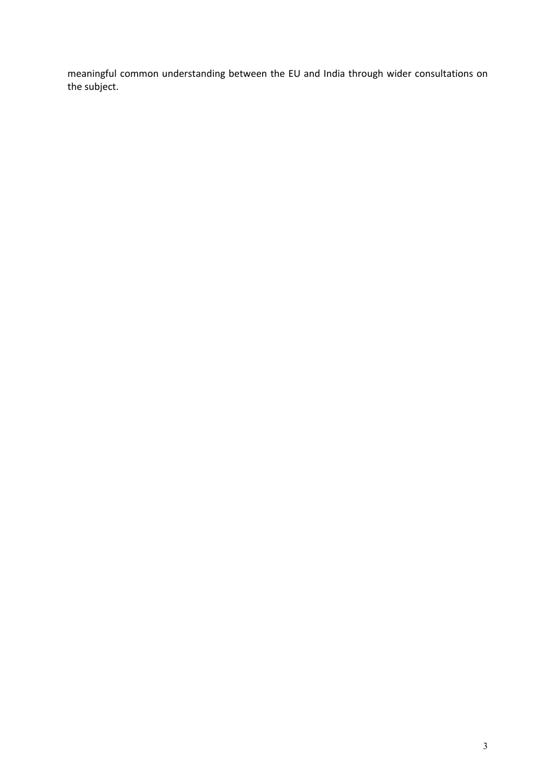meaningful common understanding between the EU and India through wider consultations on the subject.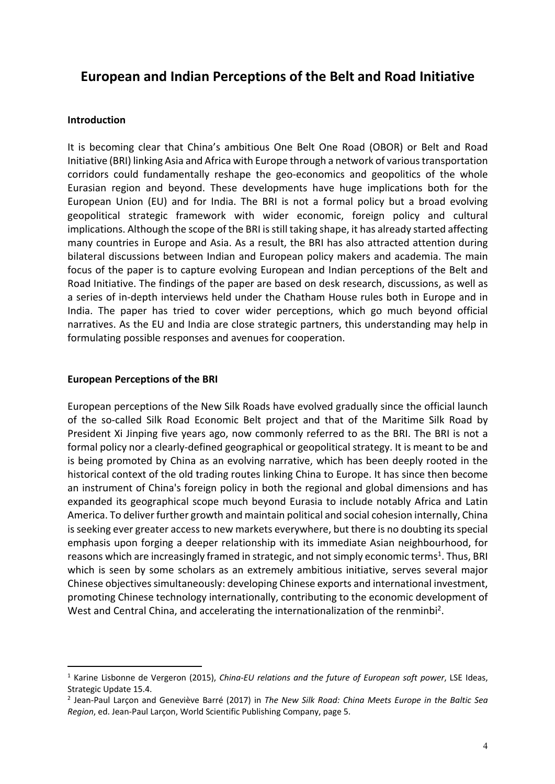## **European and Indian Perceptions of the Belt and Road Initiative**

#### **Introduction**

It is becoming clear that China's ambitious One Belt One Road (OBOR) or Belt and Road Initiative (BRI) linking Asia and Africa with Europe through a network of various transportation corridors could fundamentally reshape the geo-economics and geopolitics of the whole Eurasian region and beyond. These developments have huge implications both for the European Union (EU) and for India. The BRI is not a formal policy but a broad evolving geopolitical strategic framework with wider economic, foreign policy and cultural implications. Although the scope of the BRI is still taking shape, it has already started affecting many countries in Europe and Asia. As a result, the BRI has also attracted attention during bilateral discussions between Indian and European policy makers and academia. The main focus of the paper is to capture evolving European and Indian perceptions of the Belt and Road Initiative. The findings of the paper are based on desk research, discussions, as well as a series of in-depth interviews held under the Chatham House rules both in Europe and in India. The paper has tried to cover wider perceptions, which go much beyond official narratives. As the EU and India are close strategic partners, this understanding may help in formulating possible responses and avenues for cooperation.

#### **European Perceptions of the BRI**

 $\overline{a}$ 

European perceptions of the New Silk Roads have evolved gradually since the official launch of the so-called Silk Road Economic Belt project and that of the Maritime Silk Road by President Xi Jinping five years ago, now commonly referred to as the BRI. The BRI is not a formal policy nor a clearly-defined geographical or geopolitical strategy. It is meant to be and is being promoted by China as an evolving narrative, which has been deeply rooted in the historical context of the old trading routes linking China to Europe. It has since then become an instrument of China's foreign policy in both the regional and global dimensions and has expanded its geographical scope much beyond Eurasia to include notably Africa and Latin America. To deliver further growth and maintain political and social cohesion internally, China is seeking ever greater access to new markets everywhere, but there is no doubting its special emphasis upon forging a deeper relationship with its immediate Asian neighbourhood, for reasons which are increasingly framed in strategic, and not simply economic terms<sup>1</sup>. Thus, BRI which is seen by some scholars as an extremely ambitious initiative, serves several major Chinese objectives simultaneously: developing Chinese exports and international investment, promoting Chinese technology internationally, contributing to the economic development of West and Central China, and accelerating the internationalization of the renminbi<sup>2</sup>.

<sup>1</sup> Karine Lisbonne de Vergeron (2015), *China-EU relations and the future of European soft power*, LSE Ideas, Strategic Update 15.4.

<sup>2</sup> Jean-Paul Larçon and Geneviève Barré (2017) in *The New Silk Road: China Meets Europe in the Baltic Sea Region*, ed. Jean-Paul Larçon, World Scientific Publishing Company, page 5.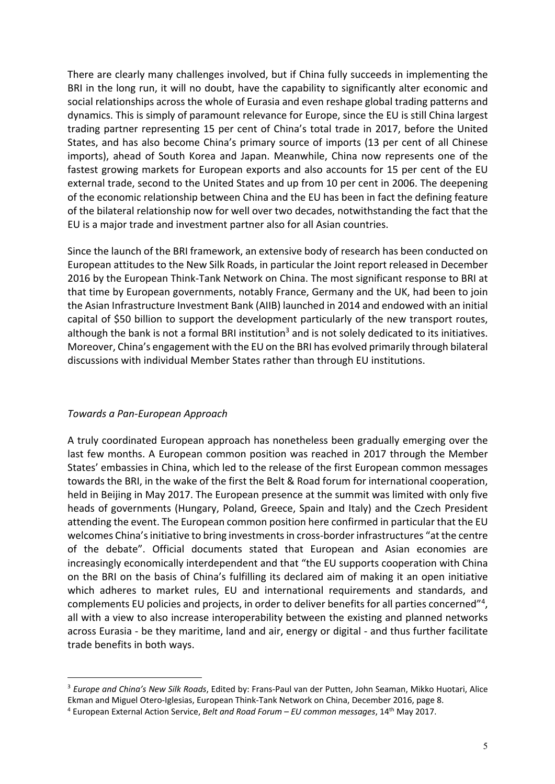There are clearly many challenges involved, but if China fully succeeds in implementing the BRI in the long run, it will no doubt, have the capability to significantly alter economic and social relationships across the whole of Eurasia and even reshape global trading patterns and dynamics. This is simply of paramount relevance for Europe, since the EU is still China largest trading partner representing 15 per cent of China's total trade in 2017, before the United States, and has also become China's primary source of imports (13 per cent of all Chinese imports), ahead of South Korea and Japan. Meanwhile, China now represents one of the fastest growing markets for European exports and also accounts for 15 per cent of the EU external trade, second to the United States and up from 10 per cent in 2006. The deepening of the economic relationship between China and the EU has been in fact the defining feature of the bilateral relationship now for well over two decades, notwithstanding the fact that the EU is a major trade and investment partner also for all Asian countries.

Since the launch of the BRI framework, an extensive body of research has been conducted on European attitudes to the New Silk Roads, in particular the Joint report released in December 2016 by the European Think-Tank Network on China. The most significant response to BRI at that time by European governments, notably France, Germany and the UK, had been to join the Asian Infrastructure Investment Bank (AIIB) launched in 2014 and endowed with an initial capital of \$50 billion to support the development particularly of the new transport routes, although the bank is not a formal BRI institution<sup>3</sup> and is not solely dedicated to its initiatives. Moreover, China's engagement with the EU on the BRI has evolved primarily through bilateral discussions with individual Member States rather than through EU institutions.

#### *Towards a Pan-European Approach*

 $\overline{a}$ 

A truly coordinated European approach has nonetheless been gradually emerging over the last few months. A European common position was reached in 2017 through the Member States' embassies in China, which led to the release of the first European common messages towards the BRI, in the wake of the first the Belt & Road forum for international cooperation, held in Beijing in May 2017. The European presence at the summit was limited with only five heads of governments (Hungary, Poland, Greece, Spain and Italy) and the Czech President attending the event. The European common position here confirmed in particular that the EU welcomes China's initiative to bring investments in cross-border infrastructures "at the centre of the debate". Official documents stated that European and Asian economies are increasingly economically interdependent and that "the EU supports cooperation with China on the BRI on the basis of China's fulfilling its declared aim of making it an open initiative which adheres to market rules, EU and international requirements and standards, and complements EU policies and projects, in order to deliver benefits for all parties concerned"<sup>4</sup>, all with a view to also increase interoperability between the existing and planned networks across Eurasia - be they maritime, land and air, energy or digital - and thus further facilitate trade benefits in both ways.

<sup>3</sup> *Europe and China's New Silk Roads*, Edited by: Frans-Paul van der Putten, John Seaman, Mikko Huotari, Alice Ekman and Miguel Otero-Iglesias, European Think-Tank Network on China, December 2016, page 8.

<sup>4</sup> European External Action Service, *Belt and Road Forum – EU common messages*, 14th May 2017.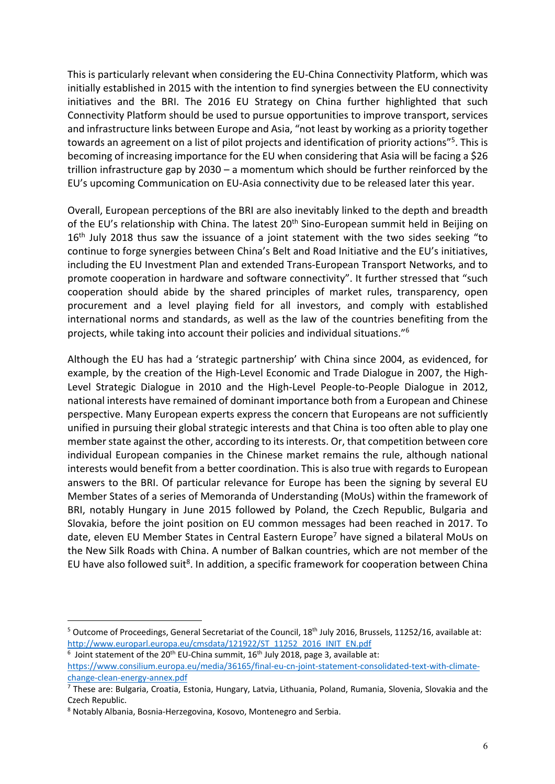This is particularly relevant when considering the EU-China Connectivity Platform, which was initially established in 2015 with the intention to find synergies between the EU connectivity initiatives and the BRI. The 2016 EU Strategy on China further highlighted that such Connectivity Platform should be used to pursue opportunities to improve transport, services and infrastructure links between Europe and Asia, "not least by working as a priority together towards an agreement on a list of pilot projects and identification of priority actions"<sup>5</sup>. This is becoming of increasing importance for the EU when considering that Asia will be facing a \$26 trillion infrastructure gap by 2030 – a momentum which should be further reinforced by the EU's upcoming Communication on EU-Asia connectivity due to be released later this year.

Overall, European perceptions of the BRI are also inevitably linked to the depth and breadth of the EU's relationship with China. The latest 20<sup>th</sup> Sino-European summit held in Beijing on 16<sup>th</sup> July 2018 thus saw the issuance of a joint statement with the two sides seeking "to continue to forge synergies between China's Belt and Road Initiative and the EU's initiatives, including the EU Investment Plan and extended Trans-European Transport Networks, and to promote cooperation in hardware and software connectivity". It further stressed that "such cooperation should abide by the shared principles of market rules, transparency, open procurement and a level playing field for all investors, and comply with established international norms and standards, as well as the law of the countries benefiting from the projects, while taking into account their policies and individual situations."<sup>6</sup>

Although the EU has had a 'strategic partnership' with China since 2004, as evidenced, for example, by the creation of the High-Level Economic and Trade Dialogue in 2007, the High-Level Strategic Dialogue in 2010 and the High-Level People-to-People Dialogue in 2012, national interests have remained of dominant importance both from a European and Chinese perspective. Many European experts express the concern that Europeans are not sufficiently unified in pursuing their global strategic interests and that China is too often able to play one member state against the other, according to its interests. Or, that competition between core individual European companies in the Chinese market remains the rule, although national interests would benefit from a better coordination. This is also true with regards to European answers to the BRI. Of particular relevance for Europe has been the signing by several EU Member States of a series of Memoranda of Understanding (MoUs) within the framework of BRI, notably Hungary in June 2015 followed by Poland, the Czech Republic, Bulgaria and Slovakia, before the joint position on EU common messages had been reached in 2017. To date, eleven EU Member States in Central Eastern Europe<sup>7</sup> have signed a bilateral MoUs on the New Silk Roads with China. A number of Balkan countries, which are not member of the EU have also followed suit<sup>8</sup>. In addition, a specific framework for cooperation between China

 $5$  Outcome of Proceedings, General Secretariat of the Council, 18<sup>th</sup> July 2016, Brussels, 11252/16, available at: http://www.europarl.europa.eu/cmsdata/121922/ST\_11252\_2016\_INIT\_EN.pdf

 $6$  Joint statement of the 20<sup>th</sup> EU-China summit, 16<sup>th</sup> July 2018, page 3, available at:

https://www.consilium.europa.eu/media/36165/final-eu-cn-joint-statement-consolidated-text-with-climatechange-clean-energy-annex.pdf

 $^7$  These are: Bulgaria, Croatia, Estonia, Hungary, Latvia, Lithuania, Poland, Rumania, Slovenia, Slovakia and the Czech Republic.

<sup>8</sup> Notably Albania, Bosnia-Herzegovina, Kosovo, Montenegro and Serbia.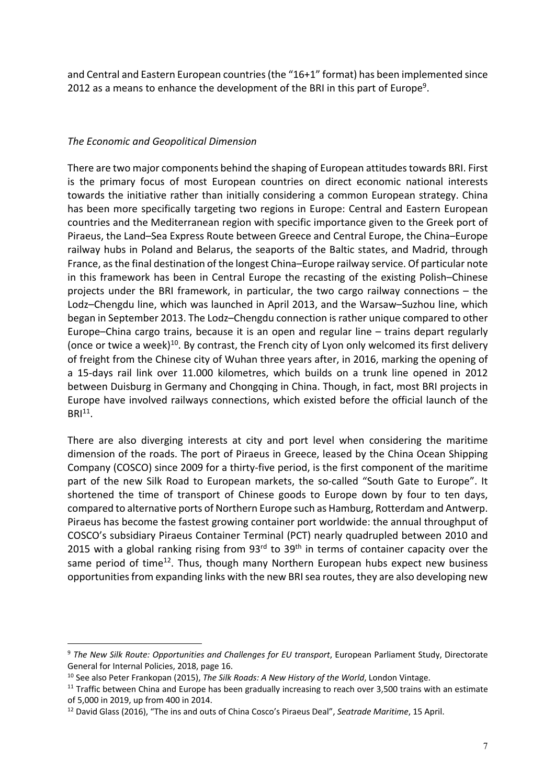and Central and Eastern European countries (the "16+1" format) has been implemented since 2012 as a means to enhance the development of the BRI in this part of Europe<sup>9</sup>.

#### *The Economic and Geopolitical Dimension*

There are two major components behind the shaping of European attitudes towards BRI. First is the primary focus of most European countries on direct economic national interests towards the initiative rather than initially considering a common European strategy. China has been more specifically targeting two regions in Europe: Central and Eastern European countries and the Mediterranean region with specific importance given to the Greek port of Piraeus, the Land–Sea Express Route between Greece and Central Europe, the China–Europe railway hubs in Poland and Belarus, the seaports of the Baltic states, and Madrid, through France, as the final destination of the longest China–Europe railway service. Of particular note in this framework has been in Central Europe the recasting of the existing Polish–Chinese projects under the BRI framework, in particular, the two cargo railway connections – the Lodz–Chengdu line, which was launched in April 2013, and the Warsaw–Suzhou line, which began in September 2013. The Lodz–Chengdu connection is rather unique compared to other Europe–China cargo trains, because it is an open and regular line – trains depart regularly (once or twice a week)<sup>10</sup>. By contrast, the French city of Lyon only welcomed its first delivery of freight from the Chinese city of Wuhan three years after, in 2016, marking the opening of a 15-days rail link over 11.000 kilometres, which builds on a trunk line opened in 2012 between Duisburg in Germany and Chongqing in China. Though, in fact, most BRI projects in Europe have involved railways connections, which existed before the official launch of the  $BRI<sup>11</sup>$ .

There are also diverging interests at city and port level when considering the maritime dimension of the roads. The port of Piraeus in Greece, leased by the China Ocean Shipping Company (COSCO) since 2009 for a thirty-five period, is the first component of the maritime part of the new Silk Road to European markets, the so-called "South Gate to Europe". It shortened the time of transport of Chinese goods to Europe down by four to ten days, compared to alternative ports of Northern Europe such as Hamburg, Rotterdam and Antwerp. Piraeus has become the fastest growing container port worldwide: the annual throughput of COSCO's subsidiary Piraeus Container Terminal (PCT) nearly quadrupled between 2010 and 2015 with a global ranking rising from  $93<sup>rd</sup>$  to  $39<sup>th</sup>$  in terms of container capacity over the same period of time<sup>12</sup>. Thus, though many Northern European hubs expect new business opportunities from expanding links with the new BRI sea routes, they are also developing new

<sup>9</sup> *The New Silk Route: Opportunities and Challenges for EU transport*, European Parliament Study, Directorate General for Internal Policies, 2018, page 16.

<sup>10</sup> See also Peter Frankopan (2015), *The Silk Roads: A New History of the World*, London Vintage.

<sup>&</sup>lt;sup>11</sup> Traffic between China and Europe has been gradually increasing to reach over 3,500 trains with an estimate of 5,000 in 2019, up from 400 in 2014.

<sup>12</sup> David Glass (2016), "The ins and outs of China Cosco's Piraeus Deal", *Seatrade Maritime*, 15 April.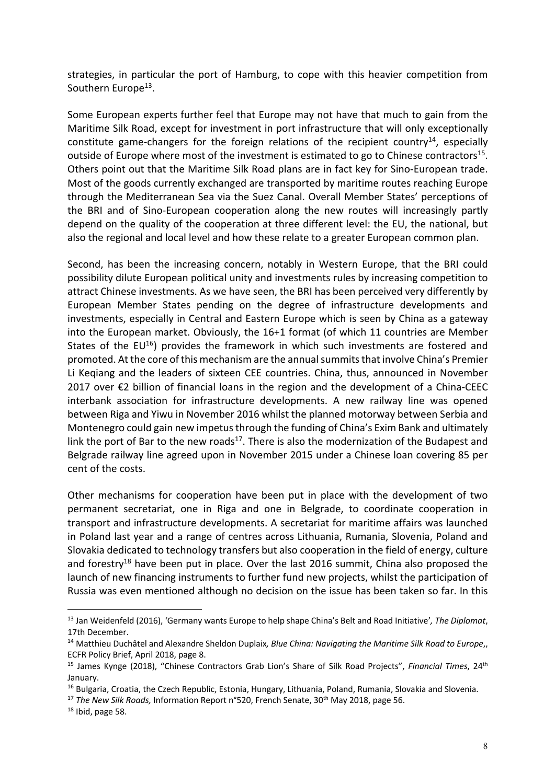strategies, in particular the port of Hamburg, to cope with this heavier competition from Southern Europe<sup>13</sup>.

Some European experts further feel that Europe may not have that much to gain from the Maritime Silk Road, except for investment in port infrastructure that will only exceptionally constitute game-changers for the foreign relations of the recipient country<sup>14</sup>, especially outside of Europe where most of the investment is estimated to go to Chinese contractors<sup>15</sup>. Others point out that the Maritime Silk Road plans are in fact key for Sino-European trade. Most of the goods currently exchanged are transported by maritime routes reaching Europe through the Mediterranean Sea via the Suez Canal. Overall Member States' perceptions of the BRI and of Sino-European cooperation along the new routes will increasingly partly depend on the quality of the cooperation at three different level: the EU, the national, but also the regional and local level and how these relate to a greater European common plan.

Second, has been the increasing concern, notably in Western Europe, that the BRI could possibility dilute European political unity and investments rules by increasing competition to attract Chinese investments. As we have seen, the BRI has been perceived very differently by European Member States pending on the degree of infrastructure developments and investments, especially in Central and Eastern Europe which is seen by China as a gateway into the European market. Obviously, the 16+1 format (of which 11 countries are Member States of the  $EU^{16}$ ) provides the framework in which such investments are fostered and promoted. At the core of this mechanism are the annual summits that involve China's Premier Li Keqiang and the leaders of sixteen CEE countries. China, thus, announced in November 2017 over €2 billion of financial loans in the region and the development of a China-CEEC interbank association for infrastructure developments. A new railway line was opened between Riga and Yiwu in November 2016 whilst the planned motorway between Serbia and Montenegro could gain new impetus through the funding of China's Exim Bank and ultimately link the port of Bar to the new roads<sup>17</sup>. There is also the modernization of the Budapest and Belgrade railway line agreed upon in November 2015 under a Chinese loan covering 85 per cent of the costs.

Other mechanisms for cooperation have been put in place with the development of two permanent secretariat, one in Riga and one in Belgrade, to coordinate cooperation in transport and infrastructure developments. A secretariat for maritime affairs was launched in Poland last year and a range of centres across Lithuania, Rumania, Slovenia, Poland and Slovakia dedicated to technology transfers but also cooperation in the field of energy, culture and forestry<sup>18</sup> have been put in place. Over the last 2016 summit, China also proposed the launch of new financing instruments to further fund new projects, whilst the participation of Russia was even mentioned although no decision on the issue has been taken so far. In this

<sup>17</sup> The New Silk Roads, Information Report n°520, French Senate, 30<sup>th</sup> May 2018, page 56.

<sup>13</sup> Jan Weidenfeld (2016), 'Germany wants Europe to help shape China's Belt and Road Initiative'*, The Diplomat*, 17th December.

<sup>14</sup> Matthieu Duchâtel and Alexandre Sheldon Duplaix*, Blue China: Navigating the Maritime Silk Road to Europe*,, ECFR Policy Brief, April 2018, page 8.

<sup>15</sup> James Kynge (2018), "Chinese Contractors Grab Lion's Share of Silk Road Projects", *Financial Times*, 24th January.

<sup>&</sup>lt;sup>16</sup> Bulgaria, Croatia, the Czech Republic, Estonia, Hungary, Lithuania, Poland, Rumania, Slovakia and Slovenia.

 $18$  Ibid, page 58.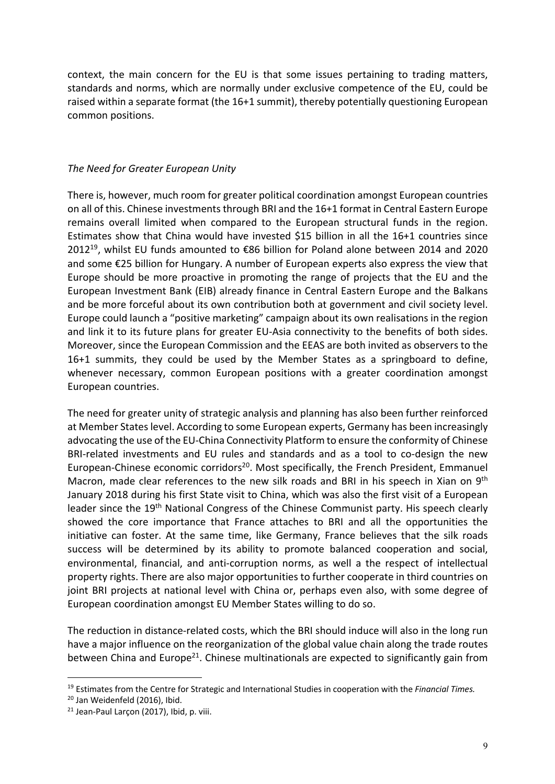context, the main concern for the EU is that some issues pertaining to trading matters, standards and norms, which are normally under exclusive competence of the EU, could be raised within a separate format (the 16+1 summit), thereby potentially questioning European common positions.

#### *The Need for Greater European Unity*

There is, however, much room for greater political coordination amongst European countries on all of this. Chinese investments through BRI and the 16+1 format in Central Eastern Europe remains overall limited when compared to the European structural funds in the region. Estimates show that China would have invested \$15 billion in all the 16+1 countries since 2012<sup>19</sup>, whilst EU funds amounted to €86 billion for Poland alone between 2014 and 2020 and some €25 billion for Hungary. A number of European experts also express the view that Europe should be more proactive in promoting the range of projects that the EU and the European Investment Bank (EIB) already finance in Central Eastern Europe and the Balkans and be more forceful about its own contribution both at government and civil society level. Europe could launch a "positive marketing" campaign about its own realisations in the region and link it to its future plans for greater EU-Asia connectivity to the benefits of both sides. Moreover, since the European Commission and the EEAS are both invited as observers to the 16+1 summits, they could be used by the Member States as a springboard to define, whenever necessary, common European positions with a greater coordination amongst European countries.

The need for greater unity of strategic analysis and planning has also been further reinforced at Member States level. According to some European experts, Germany has been increasingly advocating the use of the EU-China Connectivity Platform to ensure the conformity of Chinese BRI-related investments and EU rules and standards and as a tool to co-design the new European-Chinese economic corridors<sup>20</sup>. Most specifically, the French President, Emmanuel Macron, made clear references to the new silk roads and BRI in his speech in Xian on 9<sup>th</sup> January 2018 during his first State visit to China, which was also the first visit of a European leader since the 19<sup>th</sup> National Congress of the Chinese Communist party. His speech clearly showed the core importance that France attaches to BRI and all the opportunities the initiative can foster. At the same time, like Germany, France believes that the silk roads success will be determined by its ability to promote balanced cooperation and social, environmental, financial, and anti-corruption norms, as well a the respect of intellectual property rights. There are also major opportunities to further cooperate in third countries on joint BRI projects at national level with China or, perhaps even also, with some degree of European coordination amongst EU Member States willing to do so.

The reduction in distance-related costs, which the BRI should induce will also in the long run have a major influence on the reorganization of the global value chain along the trade routes between China and Europe<sup>21</sup>. Chinese multinationals are expected to significantly gain from

<sup>19</sup> Estimates from the Centre for Strategic and International Studies in cooperation with the *Financial Times.*

<sup>20</sup> Jan Weidenfeld (2016), Ibid.

<sup>&</sup>lt;sup>21</sup> Jean-Paul Larcon (2017), Ibid, p. viii.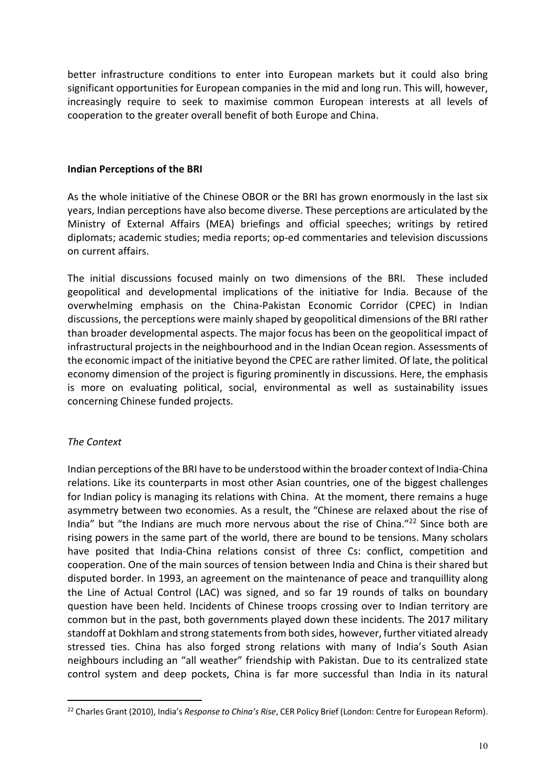better infrastructure conditions to enter into European markets but it could also bring significant opportunities for European companies in the mid and long run. This will, however, increasingly require to seek to maximise common European interests at all levels of cooperation to the greater overall benefit of both Europe and China.

#### **Indian Perceptions of the BRI**

As the whole initiative of the Chinese OBOR or the BRI has grown enormously in the last six years, Indian perceptions have also become diverse. These perceptions are articulated by the Ministry of External Affairs (MEA) briefings and official speeches; writings by retired diplomats; academic studies; media reports; op-ed commentaries and television discussions on current affairs.

The initial discussions focused mainly on two dimensions of the BRI. These included geopolitical and developmental implications of the initiative for India. Because of the overwhelming emphasis on the China-Pakistan Economic Corridor (CPEC) in Indian discussions, the perceptions were mainly shaped by geopolitical dimensions of the BRI rather than broader developmental aspects. The major focus has been on the geopolitical impact of infrastructural projects in the neighbourhood and in the Indian Ocean region. Assessments of the economic impact of the initiative beyond the CPEC are rather limited. Of late, the political economy dimension of the project is figuring prominently in discussions. Here, the emphasis is more on evaluating political, social, environmental as well as sustainability issues concerning Chinese funded projects.

#### *The Context*

 $\overline{a}$ 

Indian perceptions of the BRI have to be understood within the broader context of India-China relations. Like its counterparts in most other Asian countries, one of the biggest challenges for Indian policy is managing its relations with China. At the moment, there remains a huge asymmetry between two economies. As a result, the "Chinese are relaxed about the rise of India" but "the Indians are much more nervous about the rise of China."<sup>22</sup> Since both are rising powers in the same part of the world, there are bound to be tensions. Many scholars have posited that India-China relations consist of three Cs: conflict, competition and cooperation. One of the main sources of tension between India and China is their shared but disputed border. In 1993, an agreement on the maintenance of peace and tranquillity along the Line of Actual Control (LAC) was signed, and so far 19 rounds of talks on boundary question have been held. Incidents of Chinese troops crossing over to Indian territory are common but in the past, both governments played down these incidents. The 2017 military standoff at Dokhlam and strong statements from both sides, however, further vitiated already stressed ties. China has also forged strong relations with many of India's South Asian neighbours including an "all weather" friendship with Pakistan. Due to its centralized state control system and deep pockets, China is far more successful than India in its natural

<sup>22</sup> Charles Grant (2010), India's *Response to China's Rise*, CER Policy Brief (London: Centre for European Reform).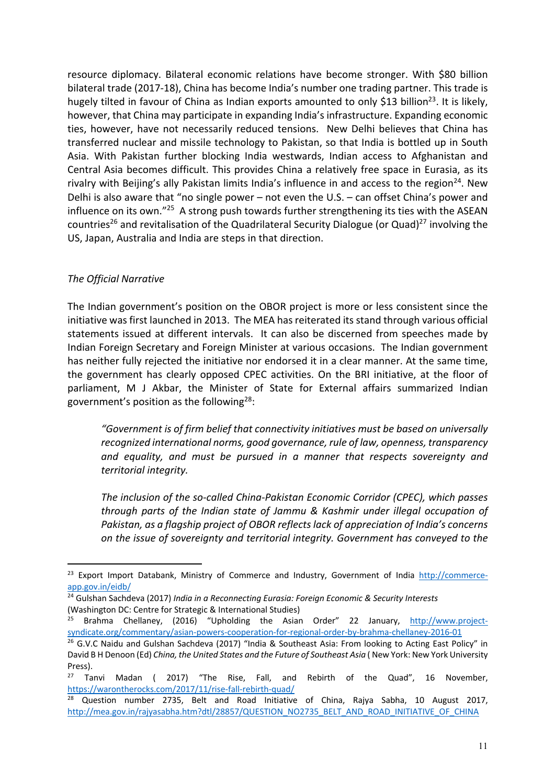resource diplomacy. Bilateral economic relations have become stronger. With \$80 billion bilateral trade (2017-18), China has become India's number one trading partner. This trade is hugely tilted in favour of China as Indian exports amounted to only \$13 billion<sup>23</sup>. It is likely, however, that China may participate in expanding India's infrastructure. Expanding economic ties, however, have not necessarily reduced tensions. New Delhi believes that China has transferred nuclear and missile technology to Pakistan, so that India is bottled up in South Asia. With Pakistan further blocking India westwards, Indian access to Afghanistan and Central Asia becomes difficult. This provides China a relatively free space in Eurasia, as its rivalry with Beijing's ally Pakistan limits India's influence in and access to the region<sup>24</sup>. New Delhi is also aware that "no single power – not even the U.S. – can offset China's power and influence on its own."<sup>25</sup> A strong push towards further strengthening its ties with the ASEAN countries<sup>26</sup> and revitalisation of the Quadrilateral Security Dialogue (or Quad)<sup>27</sup> involving the US, Japan, Australia and India are steps in that direction.

### *The Official Narrative*

 $\overline{a}$ 

The Indian government's position on the OBOR project is more or less consistent since the initiative was first launched in 2013. The MEA has reiterated its stand through various official statements issued at different intervals. It can also be discerned from speeches made by Indian Foreign Secretary and Foreign Minister at various occasions. The Indian government has neither fully rejected the initiative nor endorsed it in a clear manner. At the same time, the government has clearly opposed CPEC activities. On the BRI initiative, at the floor of parliament, M J Akbar, the Minister of State for External affairs summarized Indian government's position as the following<sup>28</sup>:

*"Government is of firm belief that connectivity initiatives must be based on universally recognized international norms, good governance, rule of law, openness, transparency and equality, and must be pursued in a manner that respects sovereignty and territorial integrity.* 

*The inclusion of the so-called China-Pakistan Economic Corridor (CPEC), which passes through parts of the Indian state of Jammu & Kashmir under illegal occupation of Pakistan, as a flagship project of OBOR reflects lack of appreciation of India's concerns on the issue of sovereignty and territorial integrity. Government has conveyed to the* 

<sup>&</sup>lt;sup>23</sup> Export Import Databank, Ministry of Commerce and Industry, Government of India http://commerceapp.gov.in/eidb/

<sup>24</sup> Gulshan Sachdeva (2017) *India in a Reconnecting Eurasia: Foreign Economic & Security Interests* (Washington DC: Centre for Strategic & International Studies)

<sup>&</sup>lt;sup>25</sup> Brahma Chellaney, (2016) "Upholding the Asian Order" 22 January, http://www.projectsyndicate.org/commentary/asian-powers-cooperation-for-regional-order-by-brahma-chellaney-2016-01

<sup>&</sup>lt;sup>26</sup> G.V.C Naidu and Gulshan Sachdeva (2017) "India & Southeast Asia: From looking to Acting East Policy" in David B H Denoon (Ed) *China, the United States and the Future of Southeast Asia* (New York: New York University Press).

 $27$  Tanvi Madan ( 2017) "The Rise, Fall, and Rebirth of the Quad", 16 November, https://warontherocks.com/2017/11/rise-fall-rebirth-quad/

 $28$  Question number 2735, Belt and Road Initiative of China, Rajya Sabha, 10 August 2017, http://mea.gov.in/rajyasabha.htm?dtl/28857/QUESTION\_NO2735\_BELT\_AND\_ROAD\_INITIATIVE\_OF\_CHINA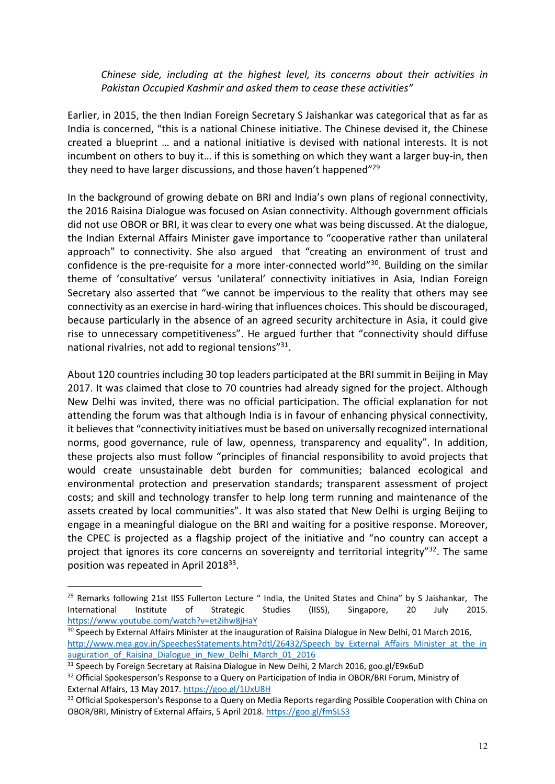*Chinese side, including at the highest level, its concerns about their activities in Pakistan Occupied Kashmir and asked them to cease these activities"* 

Earlier, in 2015, the then Indian Foreign Secretary S Jaishankar was categorical that as far as India is concerned, "this is a national Chinese initiative. The Chinese devised it, the Chinese created a blueprint … and a national initiative is devised with national interests. It is not incumbent on others to buy it… if this is something on which they want a larger buy-in, then they need to have larger discussions, and those haven't happened"<sup>29</sup>

In the background of growing debate on BRI and India's own plans of regional connectivity, the 2016 Raisina Dialogue was focused on Asian connectivity. Although government officials did not use OBOR or BRI, it was clear to every one what was being discussed. At the dialogue, the Indian External Affairs Minister gave importance to "cooperative rather than unilateral approach" to connectivity. She also argued that "creating an environment of trust and confidence is the pre-requisite for a more inter-connected world"<sup>30</sup>. Building on the similar theme of 'consultative' versus 'unilateral' connectivity initiatives in Asia, Indian Foreign Secretary also asserted that "we cannot be impervious to the reality that others may see connectivity as an exercise in hard-wiring that influences choices. This should be discouraged, because particularly in the absence of an agreed security architecture in Asia, it could give rise to unnecessary competitiveness". He argued further that "connectivity should diffuse national rivalries, not add to regional tensions"<sup>31</sup>.

About 120 countries including 30 top leaders participated at the BRI summit in Beijing in May 2017. It was claimed that close to 70 countries had already signed for the project. Although New Delhi was invited, there was no official participation. The official explanation for not attending the forum was that although India is in favour of enhancing physical connectivity, it believes that "connectivity initiatives must be based on universally recognized international norms, good governance, rule of law, openness, transparency and equality". In addition, these projects also must follow "principles of financial responsibility to avoid projects that would create unsustainable debt burden for communities; balanced ecological and environmental protection and preservation standards; transparent assessment of project costs; and skill and technology transfer to help long term running and maintenance of the assets created by local communities". It was also stated that New Delhi is urging Beijing to engage in a meaningful dialogue on the BRI and waiting for a positive response. Moreover, the CPEC is projected as a flagship project of the initiative and "no country can accept a project that ignores its core concerns on sovereignty and territorial integrity" $32$ . The same position was repeated in April 2018<sup>33</sup>.

<sup>&</sup>lt;sup>29</sup> Remarks following 21st IISS Fullerton Lecture " India, the United States and China" by S Jaishankar, The International Institute of Strategic Studies (IISS), Singapore, 20 July 2015. https://www.youtube.com/watch?v=et2ihw8jHaY

<sup>&</sup>lt;sup>30</sup> Speech by External Affairs Minister at the inauguration of Raisina Dialogue in New Delhi, 01 March 2016, http://www.mea.gov.in/SpeechesStatements.htm?dtl/26432/Speech\_by\_External\_Affairs\_Minister\_at\_the\_in auguration of Raisina Dialogue in New Delhi March 01 2016

<sup>&</sup>lt;sup>31</sup> Speech by Foreign Secretary at Raisina Dialogue in New Delhi, 2 March 2016, goo.gl/E9x6uD

<sup>&</sup>lt;sup>32</sup> Official Spokesperson's Response to a Query on Participation of India in OBOR/BRI Forum, Ministry of External Affairs, 13 May 2017. https://goo.gl/1UxU8H

<sup>&</sup>lt;sup>33</sup> Official Spokesperson's Response to a Query on Media Reports regarding Possible Cooperation with China on OBOR/BRI, Ministry of External Affairs, 5 April 2018. https://goo.gl/fmSLS3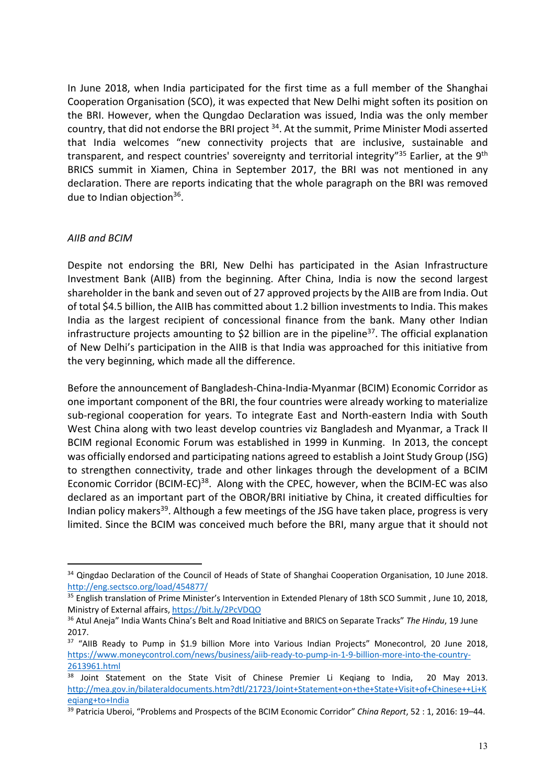In June 2018, when India participated for the first time as a full member of the Shanghai Cooperation Organisation (SCO), it was expected that New Delhi might soften its position on the BRI. However, when the Qungdao Declaration was issued, India was the only member country, that did not endorse the BRI project <sup>34</sup>. At the summit, Prime Minister Modi asserted that India welcomes "new connectivity projects that are inclusive, sustainable and transparent, and respect countries' sovereignty and territorial integrity"<sup>35</sup> Earlier, at the 9<sup>th</sup> BRICS summit in Xiamen, China in September 2017, the BRI was not mentioned in any declaration. There are reports indicating that the whole paragraph on the BRI was removed due to Indian objection<sup>36</sup>.

#### *AIIB and BCIM*

 $\overline{a}$ 

Despite not endorsing the BRI, New Delhi has participated in the Asian Infrastructure Investment Bank (AIIB) from the beginning. After China, India is now the second largest shareholder in the bank and seven out of 27 approved projects by the AIIB are from India. Out of total \$4.5 billion, the AIIB has committed about 1.2 billion investments to India. This makes India as the largest recipient of concessional finance from the bank. Many other Indian infrastructure projects amounting to \$2 billion are in the pipeline<sup>37</sup>. The official explanation of New Delhi's participation in the AIIB is that India was approached for this initiative from the very beginning, which made all the difference.

Before the announcement of Bangladesh-China-India-Myanmar (BCIM) Economic Corridor as one important component of the BRI, the four countries were already working to materialize sub-regional cooperation for years. To integrate East and North-eastern India with South West China along with two least develop countries viz Bangladesh and Myanmar, a Track II BCIM regional Economic Forum was established in 1999 in Kunming. In 2013, the concept was officially endorsed and participating nations agreed to establish a Joint Study Group (JSG) to strengthen connectivity, trade and other linkages through the development of a BCIM Economic Corridor (BCIM-EC)<sup>38</sup>. Along with the CPEC, however, when the BCIM-EC was also declared as an important part of the OBOR/BRI initiative by China, it created difficulties for Indian policy makers<sup>39</sup>. Although a few meetings of the JSG have taken place, progress is very limited. Since the BCIM was conceived much before the BRI, many argue that it should not

<sup>&</sup>lt;sup>34</sup> Qingdao Declaration of the Council of Heads of State of Shanghai Cooperation Organisation, 10 June 2018. http://eng.sectsco.org/load/454877/

<sup>&</sup>lt;sup>35</sup> English translation of Prime Minister's Intervention in Extended Plenary of 18th SCO Summit, June 10, 2018, Ministry of External affairs, https://bit.ly/2PcVDQO

<sup>36</sup> Atul Aneja" India Wants China's Belt and Road Initiative and BRICS on Separate Tracks" *The Hindu*, 19 June 2017.

<sup>&</sup>lt;sup>37</sup> "AIIB Ready to Pump in \$1.9 billion More into Various Indian Projects" Monecontrol, 20 June 2018, https://www.moneycontrol.com/news/business/aiib-ready-to-pump-in-1-9-billion-more-into-the-country-2613961.html

<sup>&</sup>lt;sup>38</sup> Joint Statement on the State Visit of Chinese Premier Li Keqiang to India, 20 May 2013. http://mea.gov.in/bilateraldocuments.htm?dtl/21723/Joint+Statement+on+the+State+Visit+of+Chinese++Li+K eqiang+to+India

<sup>39</sup> Patricia Uberoi, "Problems and Prospects of the BCIM Economic Corridor" *China Report*, 52 : 1, 2016: 19–44.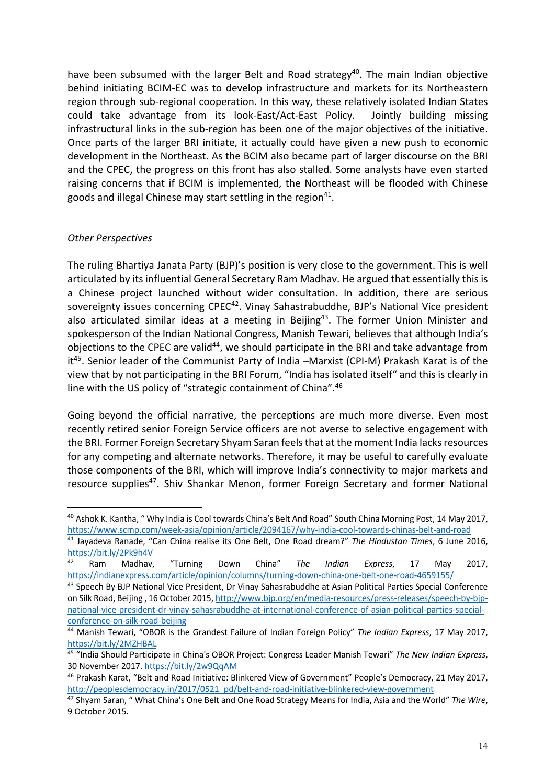have been subsumed with the larger Belt and Road strategy<sup>40</sup>. The main Indian objective behind initiating BCIM-EC was to develop infrastructure and markets for its Northeastern region through sub-regional cooperation. In this way, these relatively isolated Indian States could take advantage from its look-East/Act-East Policy. Jointly building missing infrastructural links in the sub-region has been one of the major objectives of the initiative. Once parts of the larger BRI initiate, it actually could have given a new push to economic development in the Northeast. As the BCIM also became part of larger discourse on the BRI and the CPEC, the progress on this front has also stalled. Some analysts have even started raising concerns that if BCIM is implemented, the Northeast will be flooded with Chinese goods and illegal Chinese may start settling in the region<sup>41</sup>.

#### *Other Perspectives*

 $\overline{a}$ 

The ruling Bhartiya Janata Party (BJP)'s position is very close to the government. This is well articulated by its influential General Secretary Ram Madhav. He argued that essentially this is a Chinese project launched without wider consultation. In addition, there are serious sovereignty issues concerning CPEC<sup>42</sup>. Vinay Sahastrabuddhe, BJP's National Vice president also articulated similar ideas at a meeting in Beijing $43$ . The former Union Minister and spokesperson of the Indian National Congress, Manish Tewari, believes that although India's objections to the CPEC are valid<sup>44</sup>, we should participate in the BRI and take advantage from it<sup>45</sup>. Senior leader of the Communist Party of India -Marxist (CPI-M) Prakash Karat is of the view that by not participating in the BRI Forum, "India has isolated itself" and this is clearly in line with the US policy of "strategic containment of China".<sup>46</sup>

Going beyond the official narrative, the perceptions are much more diverse. Even most recently retired senior Foreign Service officers are not averse to selective engagement with the BRI. Former Foreign Secretary Shyam Saran feels that at the moment India lacks resources for any competing and alternate networks. Therefore, it may be useful to carefully evaluate those components of the BRI, which will improve India's connectivity to major markets and resource supplies<sup>47</sup>. Shiv Shankar Menon, former Foreign Secretary and former National

<sup>&</sup>lt;sup>40</sup> Ashok K. Kantha, " Why India is Cool towards China's Belt And Road" South China Morning Post, 14 May 2017, https://www.scmp.com/week-asia/opinion/article/2094167/why-india-cool-towards-chinas-belt-and-road

<sup>41</sup> Jayadeva Ranade, "Can China realise its One Belt, One Road dream?" *The Hindustan Times*, 6 June 2016, https://bit.ly/2Pk9h4V

<sup>42</sup> Ram Madhav, "Turning Down China" *The Indian Express*, 17 May 2017, https://indianexpress.com/article/opinion/columns/turning-down-china-one-belt-one-road-4659155/

<sup>&</sup>lt;sup>43</sup> Speech By BJP National Vice President, Dr Vinay Sahasrabuddhe at Asian Political Parties Special Conference on Silk Road, Beijing , 16 October 2015, http://www.bjp.org/en/media-resources/press-releases/speech-by-bjpnational-vice-president-dr-vinay-sahasrabuddhe-at-international-conference-of-asian-political-parties-specialconference-on-silk-road-beijing

<sup>44</sup> Manish Tewari, "OBOR is the Grandest Failure of Indian Foreign Policy" *The Indian Express*, 17 May 2017, https://bit.ly/2MZHBAL

<sup>45</sup> "India Should Participate in China's OBOR Project: Congress Leader Manish Tewari" *The New Indian Express*, 30 November 2017. https://bit.ly/2w9QqAM

<sup>46</sup> Prakash Karat, "Belt and Road Initiative: Blinkered View of Government" People's Democracy, 21 May 2017, http://peoplesdemocracy.in/2017/0521\_pd/belt-and-road-initiative-blinkered-view-government

<sup>47</sup> Shyam Saran, " What China's One Belt and One Road Strategy Means for India, Asia and the World" *The Wire*, 9 October 2015.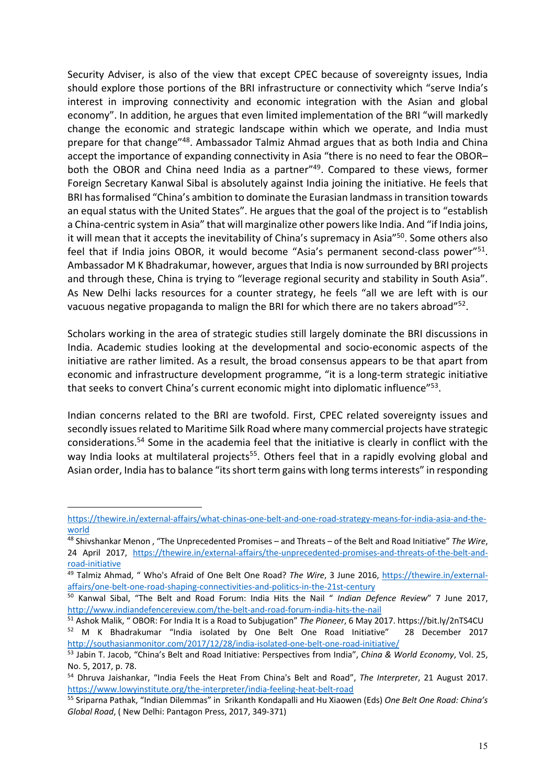Security Adviser, is also of the view that except CPEC because of sovereignty issues, India should explore those portions of the BRI infrastructure or connectivity which "serve India's interest in improving connectivity and economic integration with the Asian and global economy". In addition, he argues that even limited implementation of the BRI "will markedly change the economic and strategic landscape within which we operate, and India must prepare for that change"<sup>48</sup>. Ambassador Talmiz Ahmad argues that as both India and China accept the importance of expanding connectivity in Asia "there is no need to fear the OBOR– both the OBOR and China need India as a partner<sup>"49</sup>. Compared to these views, former Foreign Secretary Kanwal Sibal is absolutely against India joining the initiative. He feels that BRI has formalised "China's ambition to dominate the Eurasian landmass in transition towards an equal status with the United States". He argues that the goal of the project is to "establish a China-centric system in Asia" that will marginalize other powers like India. And "if India joins, it will mean that it accepts the inevitability of China's supremacy in Asia<sup>"50</sup>. Some others also feel that if India joins OBOR, it would become "Asia's permanent second-class power"<sup>51</sup>. Ambassador M K Bhadrakumar, however, argues that India is now surrounded by BRI projects and through these, China is trying to "leverage regional security and stability in South Asia". As New Delhi lacks resources for a counter strategy, he feels "all we are left with is our vacuous negative propaganda to malign the BRI for which there are no takers abroad" $52$ .

Scholars working in the area of strategic studies still largely dominate the BRI discussions in India. Academic studies looking at the developmental and socio-economic aspects of the initiative are rather limited. As a result, the broad consensus appears to be that apart from economic and infrastructure development programme, "it is a long-term strategic initiative that seeks to convert China's current economic might into diplomatic influence"<sup>53</sup>.

Indian concerns related to the BRI are twofold. First, CPEC related sovereignty issues and secondly issues related to Maritime Silk Road where many commercial projects have strategic considerations.<sup>54</sup> Some in the academia feel that the initiative is clearly in conflict with the way India looks at multilateral projects<sup>55</sup>. Others feel that in a rapidly evolving global and Asian order, India has to balance "its short term gains with long terms interests" in responding

https://thewire.in/external-affairs/what-chinas-one-belt-and-one-road-strategy-means-for-india-asia-and-theworld

<sup>48</sup> Shivshankar Menon , "The Unprecedented Promises – and Threats – of the Belt and Road Initiative" *The Wire*, 24 April 2017, https://thewire.in/external-affairs/the-unprecedented-promises-and-threats-of-the-belt-androad-initiative

<sup>49</sup> Talmiz Ahmad, " Who's Afraid of One Belt One Road? *The Wire*, 3 June 2016, https://thewire.in/externalaffairs/one-belt-one-road-shaping-connectivities-and-politics-in-the-21st-century

<sup>50</sup> Kanwal Sibal, "The Belt and Road Forum: India Hits the Nail " *Indian Defence Review*" 7 June 2017, http://www.indiandefencereview.com/the-belt-and-road-forum-india-hits-the-nail

<sup>51</sup> Ashok Malik, " OBOR: For India It is a Road to Subjugation" *The Pioneer*, 6 May 2017. https://bit.ly/2nTS4CU <sup>52</sup> M K Bhadrakumar "India isolated by One Belt One Road Initiative" 28 December 2017 http://southasianmonitor.com/2017/12/28/india-isolated-one-belt-one-road-initiative/

<sup>53</sup> Jabin T. Jacob, "China's Belt and Road Initiative: Perspectives from India", *China & World Economy*, Vol. 25, No. 5, 2017, p. 78.

<sup>54</sup> Dhruva Jaishankar, "India Feels the Heat From China's Belt and Road", *The Interpreter*, 21 August 2017. https://www.lowyinstitute.org/the-interpreter/india-feeling-heat-belt-road

<sup>55</sup> Sriparna Pathak, "Indian Dilemmas" in Srikanth Kondapalli and Hu Xiaowen (Eds) *One Belt One Road: China's Global Road*, ( New Delhi: Pantagon Press, 2017, 349-371)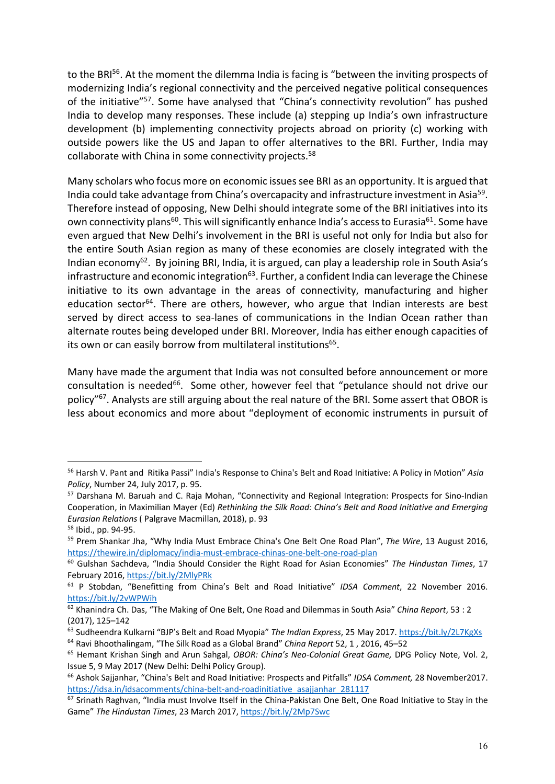to the BRI<sup>56</sup>. At the moment the dilemma India is facing is "between the inviting prospects of modernizing India's regional connectivity and the perceived negative political consequences of the initiative"<sup>57</sup>. Some have analysed that "China's connectivity revolution" has pushed India to develop many responses. These include (a) stepping up India's own infrastructure development (b) implementing connectivity projects abroad on priority (c) working with outside powers like the US and Japan to offer alternatives to the BRI. Further, India may collaborate with China in some connectivity projects.<sup>58</sup>

Many scholars who focus more on economic issues see BRI as an opportunity. It is argued that India could take advantage from China's overcapacity and infrastructure investment in Asia<sup>59</sup>. Therefore instead of opposing, New Delhi should integrate some of the BRI initiatives into its own connectivity plans<sup>60</sup>. This will significantly enhance India's access to Eurasia<sup>61</sup>. Some have even argued that New Delhi's involvement in the BRI is useful not only for India but also for the entire South Asian region as many of these economies are closely integrated with the Indian economy<sup>62</sup>. By joining BRI, India, it is argued, can play a leadership role in South Asia's infrastructure and economic integration $^{63}$ . Further, a confident India can leverage the Chinese initiative to its own advantage in the areas of connectivity, manufacturing and higher education sector<sup>64</sup>. There are others, however, who argue that Indian interests are best served by direct access to sea-lanes of communications in the Indian Ocean rather than alternate routes being developed under BRI. Moreover, India has either enough capacities of its own or can easily borrow from multilateral institutions<sup>65</sup>.

Many have made the argument that India was not consulted before announcement or more consultation is needed<sup>66</sup>. Some other, however feel that "petulance should not drive our policy"<sup>67</sup>. Analysts are still arguing about the real nature of the BRI. Some assert that OBOR is less about economics and more about "deployment of economic instruments in pursuit of

<sup>56</sup> Harsh V. Pant and Ritika Passi" India's Response to China's Belt and Road Initiative: A Policy in Motion" *Asia Policy*, Number 24, July 2017, p. 95.

<sup>&</sup>lt;sup>57</sup> Darshana M. Baruah and C. Raja Mohan, "Connectivity and Regional Integration: Prospects for Sino-Indian Cooperation, in Maximilian Mayer (Ed) *Rethinking the Silk Road: China's Belt and Road Initiative and Emerging Eurasian Relations* ( Palgrave Macmillan, 2018), p. 93

<sup>58</sup> Ibid., pp. 94-95.

<sup>59</sup> Prem Shankar Jha, "Why India Must Embrace China's One Belt One Road Plan", *The Wire*, 13 August 2016, https://thewire.in/diplomacy/india-must-embrace-chinas-one-belt-one-road-plan

<sup>60</sup> Gulshan Sachdeva, "India Should Consider the Right Road for Asian Economies" *The Hindustan Times*, 17 February 2016, https://bit.ly/2MlyPRk

<sup>61</sup> P Stobdan, "Benefitting from China's Belt and Road Initiative" *IDSA Comment*, 22 November 2016. https://bit.ly/2vWPWih

<sup>62</sup> Khanindra Ch. Das, "The Making of One Belt, One Road and Dilemmas in South Asia" *China Report*, 53 : 2 (2017), 125–142

<sup>63</sup> Sudheendra Kulkarni "BJP's Belt and Road Myopia" *The Indian Express*, 25 May 2017. https://bit.ly/2L7KgXs

<sup>64</sup> Ravi Bhoothalingam, "The Silk Road as a Global Brand" *China Report* 52, 1 , 2016, 45–52

<sup>65</sup> Hemant Krishan Singh and Arun Sahgal, *OBOR: China's Neo-Colonial Great Game,* DPG Policy Note, Vol. 2, Issue 5, 9 May 2017 (New Delhi: Delhi Policy Group).

<sup>66</sup> Ashok Sajjanhar, "China's Belt and Road Initiative: Prospects and Pitfalls" *IDSA Comment,* 28 November2017. https://idsa.in/idsacomments/china-belt-and-roadinitiative\_asajjanhar\_281117

 $67$  Srinath Raghvan, "India must Involve Itself in the China-Pakistan One Belt. One Road Initiative to Stay in the Game" *The Hindustan Times*, 23 March 2017, https://bit.ly/2Mp7Swc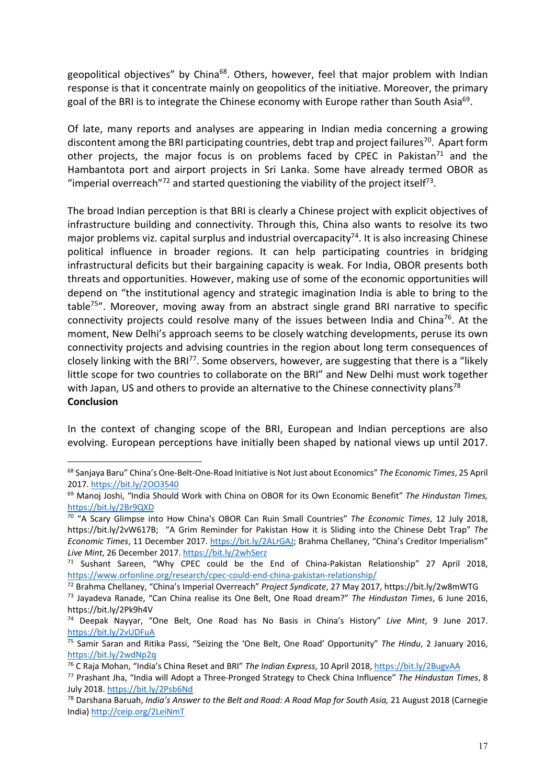geopolitical objectives" by China<sup>68</sup>. Others, however, feel that major problem with Indian response is that it concentrate mainly on geopolitics of the initiative. Moreover, the primary goal of the BRI is to integrate the Chinese economy with Europe rather than South Asia<sup>69</sup>.

Of late, many reports and analyses are appearing in Indian media concerning a growing discontent among the BRI participating countries, debt trap and project failures<sup>70</sup>. Apart form other projects, the major focus is on problems faced by CPEC in Pakistan<sup>71</sup> and the Hambantota port and airport projects in Sri Lanka. Some have already termed OBOR as "imperial overreach"<sup>72</sup> and started questioning the viability of the project itself<sup>73</sup>.

The broad Indian perception is that BRI is clearly a Chinese project with explicit objectives of infrastructure building and connectivity. Through this, China also wants to resolve its two major problems viz. capital surplus and industrial overcapacity<sup>74</sup>. It is also increasing Chinese political influence in broader regions. It can help participating countries in bridging infrastructural deficits but their bargaining capacity is weak. For India, OBOR presents both threats and opportunities. However, making use of some of the economic opportunities will depend on "the institutional agency and strategic imagination India is able to bring to the table<sup>75"</sup>. Moreover, moving away from an abstract single grand BRI narrative to specific connectivity projects could resolve many of the issues between India and China<sup>76</sup>. At the moment, New Delhi's approach seems to be closely watching developments, peruse its own connectivity projects and advising countries in the region about long term consequences of closely linking with the BRI<sup>77</sup>. Some observers, however, are suggesting that there is a "likely little scope for two countries to collaborate on the BRI" and New Delhi must work together with Japan, US and others to provide an alternative to the Chinese connectivity plans<sup>78</sup> **Conclusion**

In the context of changing scope of the BRI, European and Indian perceptions are also evolving. European perceptions have initially been shaped by national views up until 2017.

<sup>68</sup> Sanjaya Baru" China's One-Belt-One-Road Initiative is Not Just about Economics" *The Economic Times*, 25 April 2017. https://bit.ly/2OO3540

<sup>69</sup> Manoj Joshi, "India Should Work with China on OBOR for its Own Economic Benefit" *The Hindustan Times,* https://bit.ly/2Br9QXD

<sup>70</sup> "A Scary Glimpse into How China's OBOR Can Ruin Small Countries" *The Economic Times*, 12 July 2018, https://bit.ly/2vW617B; "A Grim Reminder for Pakistan How it is Sliding into the Chinese Debt Trap" *The Economic Times*, 11 December 2017. https://bit.ly/2ALrGAJ; Brahma Chellaney, "China's Creditor Imperialism" *Live Mint*, 26 December 2017. https://bit.ly/2whSerz

<sup>&</sup>lt;sup>71</sup> Sushant Sareen, "Why CPEC could be the End of China-Pakistan Relationship" 27 April 2018, https://www.orfonline.org/research/cpec-could-end-china-pakistan-relationship/

<sup>72</sup> Brahma Chellaney, "China's Imperial Overreach" *Project Syndicate*, 27 May 2017, https://bit.ly/2w8mWTG

<sup>73</sup> Jayadeva Ranade, "Can China realise its One Belt, One Road dream?" *The Hindustan Times*, 6 June 2016, https://bit.ly/2Pk9h4V

<sup>74</sup> Deepak Nayyar, "One Belt, One Road has No Basis in China's History" *Live Mint*, 9 June 2017. https://bit.ly/2vUDFuA

<sup>75</sup> Samir Saran and Ritika Passi, "Seizing the 'One Belt, One Road' Opportunity" *The Hindu*, 2 January 2016, https://bit.ly/2wdNp2q

<sup>76</sup> C Raja Mohan, "India's China Reset and BRI" *The Indian Express*, 10 April 2018, https://bit.ly/2BugvAA

<sup>77</sup> Prashant Jha, "India will Adopt a Three-Pronged Strategy to Check China Influence" *The Hindustan Times*, 8 July 2018. https://bit.ly/2Psb6Nd

<sup>78</sup> Darshana Baruah, *India's Answer to the Belt and Road: A Road Map for South Asia,* 21 August 2018 (Carnegie India) http://ceip.org/2LeiNmT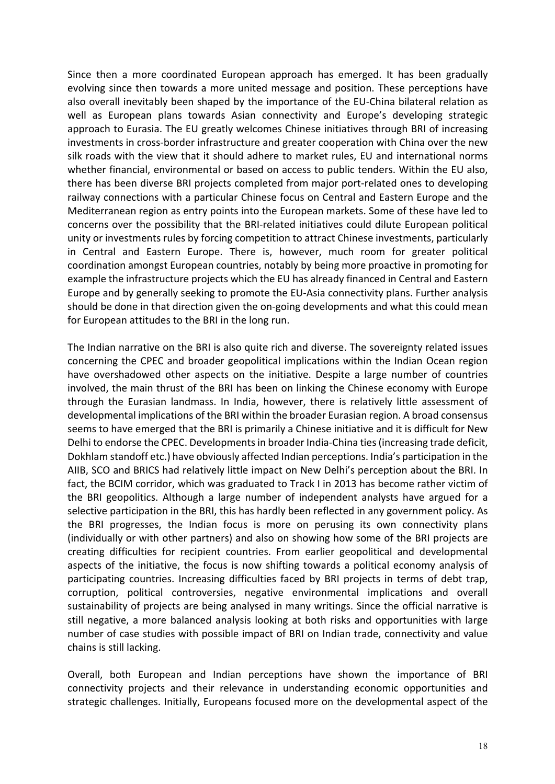Since then a more coordinated European approach has emerged. It has been gradually evolving since then towards a more united message and position. These perceptions have also overall inevitably been shaped by the importance of the EU-China bilateral relation as well as European plans towards Asian connectivity and Europe's developing strategic approach to Eurasia. The EU greatly welcomes Chinese initiatives through BRI of increasing investments in cross-border infrastructure and greater cooperation with China over the new silk roads with the view that it should adhere to market rules, EU and international norms whether financial, environmental or based on access to public tenders. Within the EU also, there has been diverse BRI projects completed from major port-related ones to developing railway connections with a particular Chinese focus on Central and Eastern Europe and the Mediterranean region as entry points into the European markets. Some of these have led to concerns over the possibility that the BRI-related initiatives could dilute European political unity or investments rules by forcing competition to attract Chinese investments, particularly in Central and Eastern Europe. There is, however, much room for greater political coordination amongst European countries, notably by being more proactive in promoting for example the infrastructure projects which the EU has already financed in Central and Eastern Europe and by generally seeking to promote the EU-Asia connectivity plans. Further analysis should be done in that direction given the on-going developments and what this could mean for European attitudes to the BRI in the long run.

The Indian narrative on the BRI is also quite rich and diverse. The sovereignty related issues concerning the CPEC and broader geopolitical implications within the Indian Ocean region have overshadowed other aspects on the initiative. Despite a large number of countries involved, the main thrust of the BRI has been on linking the Chinese economy with Europe through the Eurasian landmass. In India, however, there is relatively little assessment of developmental implications of the BRI within the broader Eurasian region. A broad consensus seems to have emerged that the BRI is primarily a Chinese initiative and it is difficult for New Delhi to endorse the CPEC. Developments in broader India-China ties (increasing trade deficit, Dokhlam standoff etc.) have obviously affected Indian perceptions. India's participation in the AIIB, SCO and BRICS had relatively little impact on New Delhi's perception about the BRI. In fact, the BCIM corridor, which was graduated to Track I in 2013 has become rather victim of the BRI geopolitics. Although a large number of independent analysts have argued for a selective participation in the BRI, this has hardly been reflected in any government policy. As the BRI progresses, the Indian focus is more on perusing its own connectivity plans (individually or with other partners) and also on showing how some of the BRI projects are creating difficulties for recipient countries. From earlier geopolitical and developmental aspects of the initiative, the focus is now shifting towards a political economy analysis of participating countries. Increasing difficulties faced by BRI projects in terms of debt trap, corruption, political controversies, negative environmental implications and overall sustainability of projects are being analysed in many writings. Since the official narrative is still negative, a more balanced analysis looking at both risks and opportunities with large number of case studies with possible impact of BRI on Indian trade, connectivity and value chains is still lacking.

Overall, both European and Indian perceptions have shown the importance of BRI connectivity projects and their relevance in understanding economic opportunities and strategic challenges. Initially, Europeans focused more on the developmental aspect of the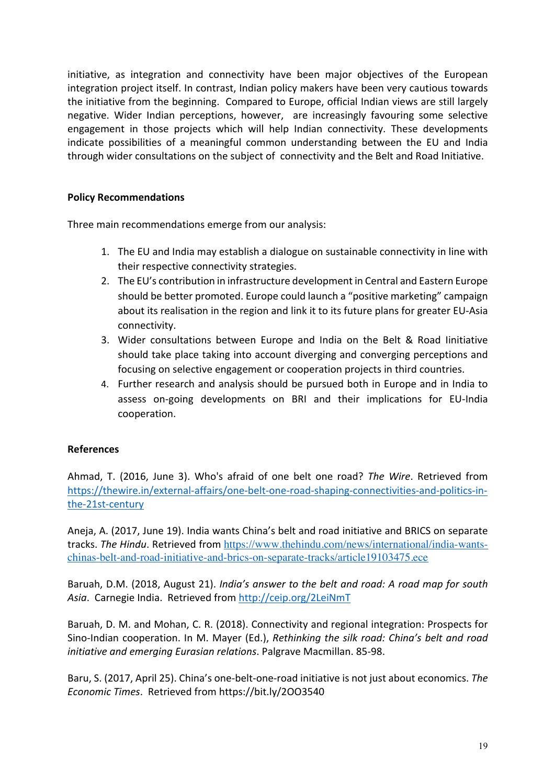initiative, as integration and connectivity have been major objectives of the European integration project itself. In contrast, Indian policy makers have been very cautious towards the initiative from the beginning. Compared to Europe, official Indian views are still largely negative. Wider Indian perceptions, however, are increasingly favouring some selective engagement in those projects which will help Indian connectivity. These developments indicate possibilities of a meaningful common understanding between the EU and India through wider consultations on the subject of connectivity and the Belt and Road Initiative.

#### **Policy Recommendations**

Three main recommendations emerge from our analysis:

- 1. The EU and India may establish a dialogue on sustainable connectivity in line with their respective connectivity strategies.
- 2. The EU's contribution in infrastructure development in Central and Eastern Europe should be better promoted. Europe could launch a "positive marketing" campaign about its realisation in the region and link it to its future plans for greater EU-Asia connectivity.
- 3. Wider consultations between Europe and India on the Belt & Road Iinitiative should take place taking into account diverging and converging perceptions and focusing on selective engagement or cooperation projects in third countries.
- 4. Further research and analysis should be pursued both in Europe and in India to assess on-going developments on BRI and their implications for EU-India cooperation.

### **References**

Ahmad, T. (2016, June 3). Who's afraid of one belt one road? *The Wire*. Retrieved from https://thewire.in/external-affairs/one-belt-one-road-shaping-connectivities-and-politics-inthe-21st-century

Aneja, A. (2017, June 19). India wants China's belt and road initiative and BRICS on separate tracks. *The Hindu*. Retrieved from https://www.thehindu.com/news/international/india-wantschinas-belt-and-road-initiative-and-brics-on-separate-tracks/article19103475.ece

Baruah, D.M. (2018, August 21). *India's answer to the belt and road: A road map for south Asia*. Carnegie India. Retrieved from http://ceip.org/2LeiNmT

Baruah, D. M. and Mohan, C. R. (2018). Connectivity and regional integration: Prospects for Sino-Indian cooperation. In M. Mayer (Ed.), *Rethinking the silk road: China's belt and road initiative and emerging Eurasian relations*. Palgrave Macmillan. 85-98.

Baru, S. (2017, April 25). China's one-belt-one-road initiative is not just about economics. *The Economic Times*. Retrieved from https://bit.ly/2OO3540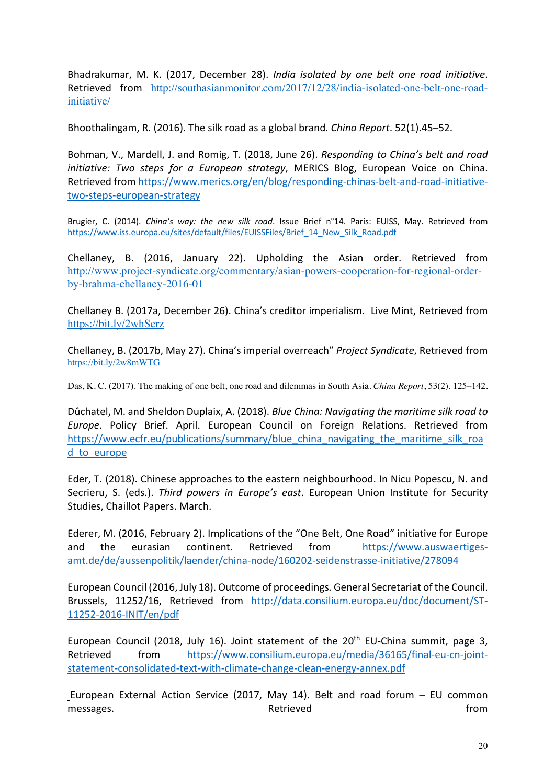Bhadrakumar, M. K. (2017, December 28). *India isolated by one belt one road initiative*. Retrieved from http://southasianmonitor.com/2017/12/28/india-isolated-one-belt-one-roadinitiative/

Bhoothalingam, R. (2016). The silk road as a global brand. *China Report*. 52(1).45–52.

Bohman, V., Mardell, J. and Romig, T. (2018, June 26). *Responding to China's belt and road initiative: Two steps for a European strategy*, MERICS Blog, European Voice on China. Retrieved from https://www.merics.org/en/blog/responding-chinas-belt-and-road-initiativetwo-steps-european-strategy

Brugier, C. (2014). *China's way: the new silk road*. Issue Brief n°14. Paris: EUISS, May. Retrieved from https://www.iss.europa.eu/sites/default/files/EUISSFiles/Brief\_14\_New\_Silk\_Road.pdf

Chellaney, B. (2016, January 22). Upholding the Asian order. Retrieved from http://www.project-syndicate.org/commentary/asian-powers-cooperation-for-regional-orderby-brahma-chellaney-2016-01

Chellaney B. (2017a, December 26). China's creditor imperialism. Live Mint, Retrieved from https://bit.ly/2whSerz

Chellaney, B. (2017b, May 27). China's imperial overreach" *Project Syndicate*, Retrieved from https://bit.ly/2w8mWTG

Das, K. C. (2017). The making of one belt, one road and dilemmas in South Asia. *China Report*, 53(2). 125–142.

Dûchatel, M. and Sheldon Duplaix, A. (2018). *Blue China: Navigating the maritime silk road to Europe*. Policy Brief. April. European Council on Foreign Relations. Retrieved from https://www.ecfr.eu/publications/summary/blue\_china\_navigating\_the\_maritime\_silk\_roa d\_to\_europe

Eder, T. (2018). Chinese approaches to the eastern neighbourhood. In Nicu Popescu, N. and Secrieru, S. (eds.). *Third powers in Europe's east*. European Union Institute for Security Studies, Chaillot Papers. March.

Ederer, M. (2016, February 2). Implications of the "One Belt, One Road" initiative for Europe and the eurasian continent. Retrieved from https://www.auswaertigesamt.de/de/aussenpolitik/laender/china-node/160202-seidenstrasse-initiative/278094

European Council (2016, July 18). Outcome of proceedings*.* General Secretariat of the Council. Brussels, 11252/16, Retrieved from http://data.consilium.europa.eu/doc/document/ST-11252-2016-INIT/en/pdf

European Council (2018, July 16). Joint statement of the  $20<sup>th</sup>$  EU-China summit, page 3, Retrieved from https://www.consilium.europa.eu/media/36165/final-eu-cn-jointstatement-consolidated-text-with-climate-change-clean-energy-annex.pdf

 European External Action Service (2017, May 14). Belt and road forum – EU common messages. The contraction of the contraction of the Retrieved contraction of the contraction of the contraction of the contraction of the contraction of the contraction of the contraction of the contraction of the contract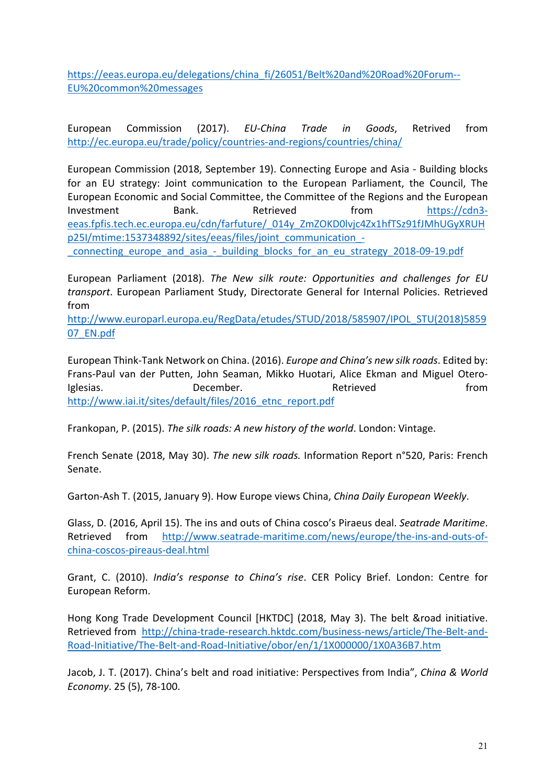https://eeas.europa.eu/delegations/china\_fi/26051/Belt%20and%20Road%20Forum-- EU%20common%20messages

European Commission (2017). *EU-China Trade in Goods*, Retrived from http://ec.europa.eu/trade/policy/countries-and-regions/countries/china/

European Commission (2018, September 19). Connecting Europe and Asia - Building blocks for an EU strategy: Joint communication to the European Parliament, the Council, The European Economic and Social Committee, the Committee of the Regions and the European Investment Bank. Retrieved from https://cdn3eeas.fpfis.tech.ec.europa.eu/cdn/farfuture/\_014y\_ZmZOKD0lvjc4Zx1hfTSz91fJMhUGyXRUH p25I/mtime:1537348892/sites/eeas/files/joint\_communication\_-

connecting europe and asia - building blocks for an eu strategy 2018-09-19.pdf

European Parliament (2018). *The New silk route: Opportunities and challenges for EU transport*. European Parliament Study, Directorate General for Internal Policies. Retrieved from

http://www.europarl.europa.eu/RegData/etudes/STUD/2018/585907/IPOL\_STU(2018)5859 07\_EN.pdf

European Think-Tank Network on China. (2016). *Europe and China's new silk roads*. Edited by: Frans-Paul van der Putten, John Seaman, Mikko Huotari, Alice Ekman and Miguel Otero-Iglesias. The December. The Retrieved Construction of the December. The Retrieved Construction of the Retrieved http://www.iai.it/sites/default/files/2016\_etnc\_report.pdf

Frankopan, P. (2015). *The silk roads: A new history of the world*. London: Vintage.

French Senate (2018, May 30). *The new silk roads.* Information Report n°520, Paris: French Senate.

Garton-Ash T. (2015, January 9). How Europe views China, *China Daily European Weekly*.

Glass, D. (2016, April 15). The ins and outs of China cosco's Piraeus deal. *Seatrade Maritime*. Retrieved from http://www.seatrade-maritime.com/news/europe/the-ins-and-outs-ofchina-coscos-pireaus-deal.html

Grant, C. (2010). *India's response to China's rise*. CER Policy Brief. London: Centre for European Reform.

Hong Kong Trade Development Council [HKTDC] (2018, May 3). The belt &road initiative. Retrieved from http://china-trade-research.hktdc.com/business-news/article/The-Belt-and-Road-Initiative/The-Belt-and-Road-Initiative/obor/en/1/1X000000/1X0A36B7.htm

Jacob, J. T. (2017). China's belt and road initiative: Perspectives from India", *China & World Economy*. 25 (5), 78-100.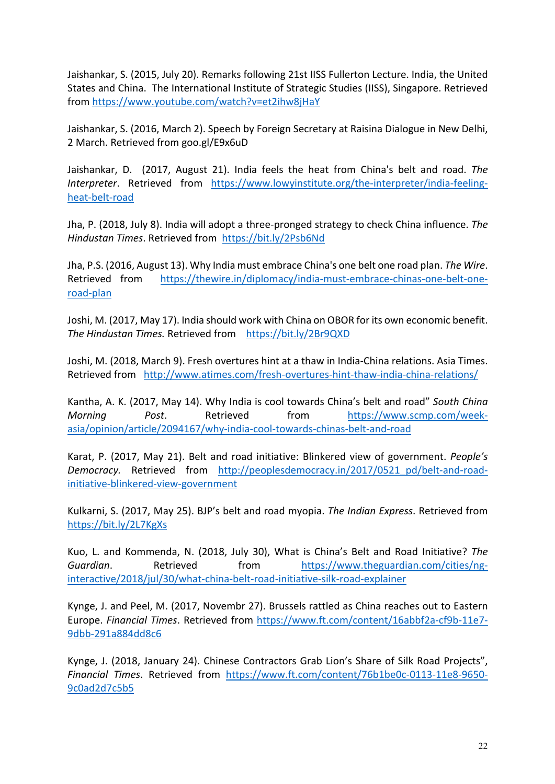Jaishankar, S. (2015, July 20). Remarks following 21st IISS Fullerton Lecture. India, the United States and China. The International Institute of Strategic Studies (IISS), Singapore. Retrieved from https://www.youtube.com/watch?v=et2ihw8jHaY

Jaishankar, S. (2016, March 2). Speech by Foreign Secretary at Raisina Dialogue in New Delhi, 2 March. Retrieved from goo.gl/E9x6uD

Jaishankar, D. (2017, August 21). India feels the heat from China's belt and road. *The Interpreter*. Retrieved from https://www.lowyinstitute.org/the-interpreter/india-feelingheat-belt-road

Jha, P. (2018, July 8). India will adopt a three-pronged strategy to check China influence. *The Hindustan Times*. Retrieved from https://bit.ly/2Psb6Nd

Jha, P.S. (2016, August 13). Why India must embrace China's one belt one road plan. *The Wire*. Retrieved from https://thewire.in/diplomacy/india-must-embrace-chinas-one-belt-oneroad-plan

Joshi, M. (2017, May 17). India should work with China on OBOR for its own economic benefit. *The Hindustan Times.* Retrieved from https://bit.ly/2Br9QXD

Joshi, M. (2018, March 9). Fresh overtures hint at a thaw in India-China relations. Asia Times. Retrieved from http://www.atimes.com/fresh-overtures-hint-thaw-india-china-relations/

Kantha, A. K. (2017, May 14). Why India is cool towards China's belt and road" *South China Morning Post*. Retrieved from https://www.scmp.com/weekasia/opinion/article/2094167/why-india-cool-towards-chinas-belt-and-road

Karat, P. (2017, May 21). Belt and road initiative: Blinkered view of government. *People's Democracy.* Retrieved from http://peoplesdemocracy.in/2017/0521\_pd/belt-and-roadinitiative-blinkered-view-government

Kulkarni, S. (2017, May 25). BJP's belt and road myopia. *The Indian Express*. Retrieved from https://bit.ly/2L7KgXs

Kuo, L. and Kommenda, N. (2018, July 30), What is China's Belt and Road Initiative? *The Guardian*. Retrieved from https://www.theguardian.com/cities/nginteractive/2018/jul/30/what-china-belt-road-initiative-silk-road-explainer

Kynge, J. and Peel, M. (2017, Novembr 27). Brussels rattled as China reaches out to Eastern Europe. *Financial Times*. Retrieved from https://www.ft.com/content/16abbf2a-cf9b-11e7- 9dbb-291a884dd8c6

Kynge, J. (2018, January 24). Chinese Contractors Grab Lion's Share of Silk Road Projects", *Financial Times*. Retrieved from https://www.ft.com/content/76b1be0c-0113-11e8-9650- 9c0ad2d7c5b5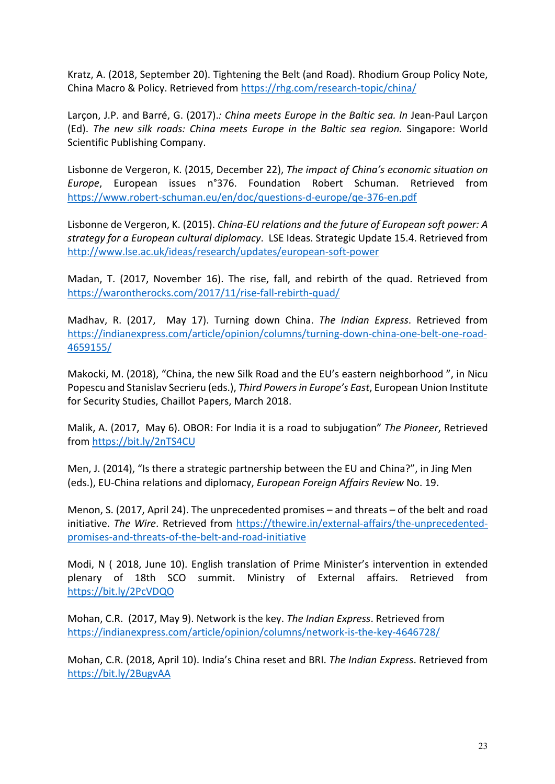Kratz, A. (2018, September 20). Tightening the Belt (and Road). Rhodium Group Policy Note, China Macro & Policy. Retrieved from https://rhg.com/research-topic/china/

Larçon, J.P. and Barré, G. (2017).*: China meets Europe in the Baltic sea. In* Jean-Paul Larçon (Ed). *The new silk roads: China meets Europe in the Baltic sea region.* Singapore: World Scientific Publishing Company.

Lisbonne de Vergeron, K. (2015, December 22), *The impact of China's economic situation on Europe*, European issues n°376. Foundation Robert Schuman. Retrieved from https://www.robert-schuman.eu/en/doc/questions-d-europe/qe-376-en.pdf

Lisbonne de Vergeron, K. (2015). *China-EU relations and the future of European soft power: A strategy for a European cultural diplomacy*. LSE Ideas. Strategic Update 15.4. Retrieved from http://www.lse.ac.uk/ideas/research/updates/european-soft-power

Madan, T. (2017, November 16). The rise, fall, and rebirth of the quad. Retrieved from https://warontherocks.com/2017/11/rise-fall-rebirth-quad/

Madhav, R. (2017, May 17). Turning down China. *The Indian Express*. Retrieved from https://indianexpress.com/article/opinion/columns/turning-down-china-one-belt-one-road-4659155/

Makocki, M. (2018), "China, the new Silk Road and the EU's eastern neighborhood ", in Nicu Popescu and Stanislav Secrieru (eds.), *Third Powers in Europe's East*, European Union Institute for Security Studies, Chaillot Papers, March 2018.

Malik, A. (2017, May 6). OBOR: For India it is a road to subjugation" *The Pioneer*, Retrieved from https://bit.ly/2nTS4CU

Men, J. (2014), "Is there a strategic partnership between the EU and China?", in Jing Men (eds.), EU-China relations and diplomacy, *European Foreign Affairs Review* No. 19.

Menon, S. (2017, April 24). The unprecedented promises – and threats – of the belt and road initiative. *The Wire*. Retrieved from https://thewire.in/external-affairs/the-unprecedentedpromises-and-threats-of-the-belt-and-road-initiative

Modi, N ( 2018, June 10). English translation of Prime Minister's intervention in extended plenary of 18th SCO summit. Ministry of External affairs. Retrieved from https://bit.ly/2PcVDQO

Mohan, C.R. (2017, May 9). Network is the key. *The Indian Express*. Retrieved from https://indianexpress.com/article/opinion/columns/network-is-the-key-4646728/

Mohan, C.R. (2018, April 10). India's China reset and BRI. *The Indian Express*. Retrieved from https://bit.ly/2BugvAA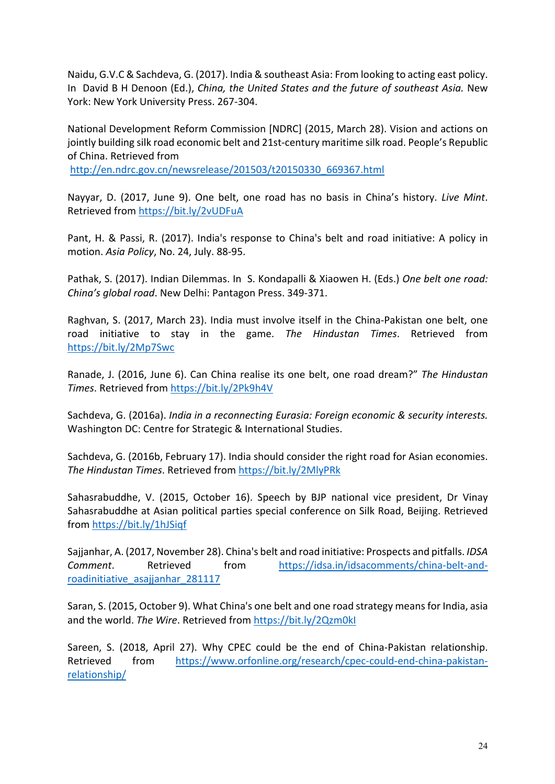Naidu, G.V.C & Sachdeva, G. (2017). India & southeast Asia: From looking to acting east policy. In David B H Denoon (Ed.), *China, the United States and the future of southeast Asia.* New York: New York University Press. 267-304.

National Development Reform Commission [NDRC] (2015, March 28). Vision and actions on jointly building silk road economic belt and 21st-century maritime silk road. People's Republic of China. Retrieved from

http://en.ndrc.gov.cn/newsrelease/201503/t20150330\_669367.html

Nayyar, D. (2017, June 9). One belt, one road has no basis in China's history. *Live Mint*. Retrieved from https://bit.ly/2vUDFuA

Pant, H. & Passi, R. (2017). India's response to China's belt and road initiative: A policy in motion. *Asia Policy*, No. 24, July. 88-95.

Pathak, S. (2017). Indian Dilemmas. In S. Kondapalli & Xiaowen H. (Eds.) *One belt one road: China's global road*. New Delhi: Pantagon Press. 349-371.

Raghvan, S. (2017, March 23). India must involve itself in the China-Pakistan one belt, one road initiative to stay in the game. *The Hindustan Times*. Retrieved from https://bit.ly/2Mp7Swc

Ranade, J. (2016, June 6). Can China realise its one belt, one road dream?" *The Hindustan Times*. Retrieved from https://bit.ly/2Pk9h4V

Sachdeva, G. (2016a). *India in a reconnecting Eurasia: Foreign economic & security interests.* Washington DC: Centre for Strategic & International Studies.

Sachdeva, G. (2016b, February 17). India should consider the right road for Asian economies. *The Hindustan Times*. Retrieved from https://bit.ly/2MlyPRk

Sahasrabuddhe, V. (2015, October 16). Speech by BJP national vice president, Dr Vinay Sahasrabuddhe at Asian political parties special conference on Silk Road, Beijing. Retrieved from https://bit.ly/1hJSiqf

Sajjanhar, A. (2017, November 28). China's belt and road initiative: Prospects and pitfalls. *IDSA Comment*. Retrieved from https://idsa.in/idsacomments/china-belt-androadinitiative\_asajjanhar\_281117

Saran, S. (2015, October 9). What China's one belt and one road strategy means for India, asia and the world. *The Wire*. Retrieved from https://bit.ly/2Qzm0kI

Sareen, S. (2018, April 27). Why CPEC could be the end of China-Pakistan relationship. Retrieved from https://www.orfonline.org/research/cpec-could-end-china-pakistanrelationship/